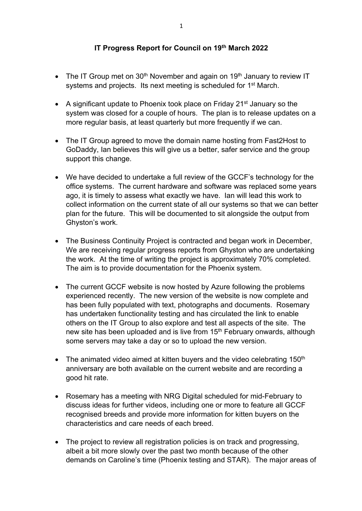## **IT Progress Report for Council on 19th March 2022**

- The IT Group met on  $30<sup>th</sup>$  November and again on  $19<sup>th</sup>$  January to review IT systems and projects. Its next meeting is scheduled for 1<sup>st</sup> March.
- A significant update to Phoenix took place on Friday  $21^{st}$  January so the system was closed for a couple of hours. The plan is to release updates on a more regular basis, at least quarterly but more frequently if we can.
- The IT Group agreed to move the domain name hosting from Fast2Host to GoDaddy, Ian believes this will give us a better, safer service and the group support this change.
- We have decided to undertake a full review of the GCCF's technology for the office systems. The current hardware and software was replaced some years ago, it is timely to assess what exactly we have. Ian will lead this work to collect information on the current state of all our systems so that we can better plan for the future. This will be documented to sit alongside the output from Ghyston's work.
- The Business Continuity Project is contracted and began work in December, We are receiving regular progress reports from Ghyston who are undertaking the work. At the time of writing the project is approximately 70% completed. The aim is to provide documentation for the Phoenix system.
- The current GCCF website is now hosted by Azure following the problems experienced recently. The new version of the website is now complete and has been fully populated with text, photographs and documents. Rosemary has undertaken functionality testing and has circulated the link to enable others on the IT Group to also explore and test all aspects of the site. The new site has been uploaded and is live from 15<sup>th</sup> February onwards, although some servers may take a day or so to upload the new version.
- The animated video aimed at kitten buyers and the video celebrating  $150<sup>th</sup>$ anniversary are both available on the current website and are recording a good hit rate.
- Rosemary has a meeting with NRG Digital scheduled for mid-February to discuss ideas for further videos, including one or more to feature all GCCF recognised breeds and provide more information for kitten buyers on the characteristics and care needs of each breed.
- The project to review all registration policies is on track and progressing, albeit a bit more slowly over the past two month because of the other demands on Caroline's time (Phoenix testing and STAR). The major areas of